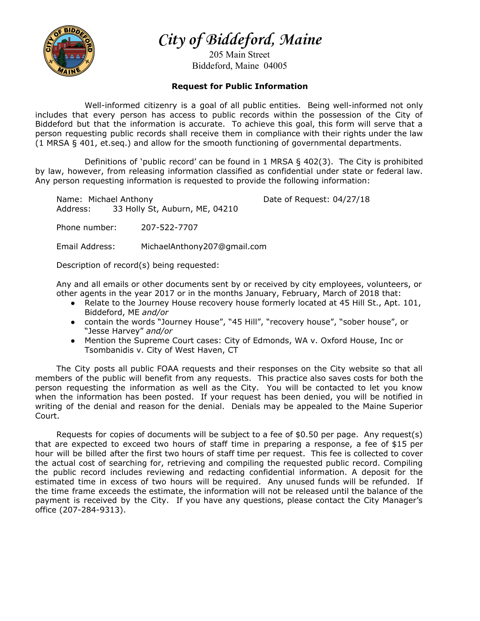

**City of Biddeford, Maine**

205 Main Street Biddeford, Maine 04005

## **Request for Public Information**

Well-informed citizenry is a goal of all public entities. Being well-informed not only includes that every person has access to public records within the possession of the City of Biddeford but that the information is accurate. To achieve this goal, this form will serve that a person requesting public records shall receive them in compliance with their rights under the law (1 MRSA § 401, et.seq.) and allow for the smooth functioning of governmental departments.

Definitions of 'public record' can be found in 1 MRSA  $\S$  402(3). The City is prohibited by law, however, from releasing information classified as confidential under state or federal law. Any person requesting information is requested to provide the following information:

Name: Michael Anthony **Date of Request: 04/27/18** Address: 33 Holly St, Auburn, ME, 04210

Phone number: 207-522-7707

Email Address: MichaelAnthony207@gmail.com

Description of record(s) being requested:

Any and all emails or other documents sent by or received by city employees, volunteers, or other agents in the year 2017 or in the months January, February, March of 2018 that:

- Relate to the Journey House recovery house formerly located at 45 Hill St., Apt. 101, Biddeford, ME *and/or*
- contain the words "Journey House", "45 Hill", "recovery house", "sober house", or "Jesse Harvey" *and/or*
- Mention the Supreme Court cases: City of Edmonds, WA v. Oxford House, Inc or Tsombanidis v. City of West Haven, CT

The City posts all public FOAA requests and their responses on the City website so that all members of the public will benefit from any requests. This practice also saves costs for both the person requesting the information as well as the City. You will be contacted to let you know when the information has been posted. If your request has been denied, you will be notified in writing of the denial and reason for the denial. Denials may be appealed to the Maine Superior Court.

Requests for copies of documents will be subject to a fee of \$0.50 per page. Any request(s) that are expected to exceed two hours of staff time in preparing a response, a fee of \$15 per hour will be billed after the first two hours of staff time per request. This fee is collected to cover the actual cost of searching for, retrieving and compiling the requested public record. Compiling the public record includes reviewing and redacting confidential information. A deposit for the estimated time in excess of two hours will be required. Any unused funds will be refunded. If the time frame exceeds the estimate, the information will not be released until the balance of the payment is received by the City. If you have any questions, please contact the City Manager's office (207-284-9313).